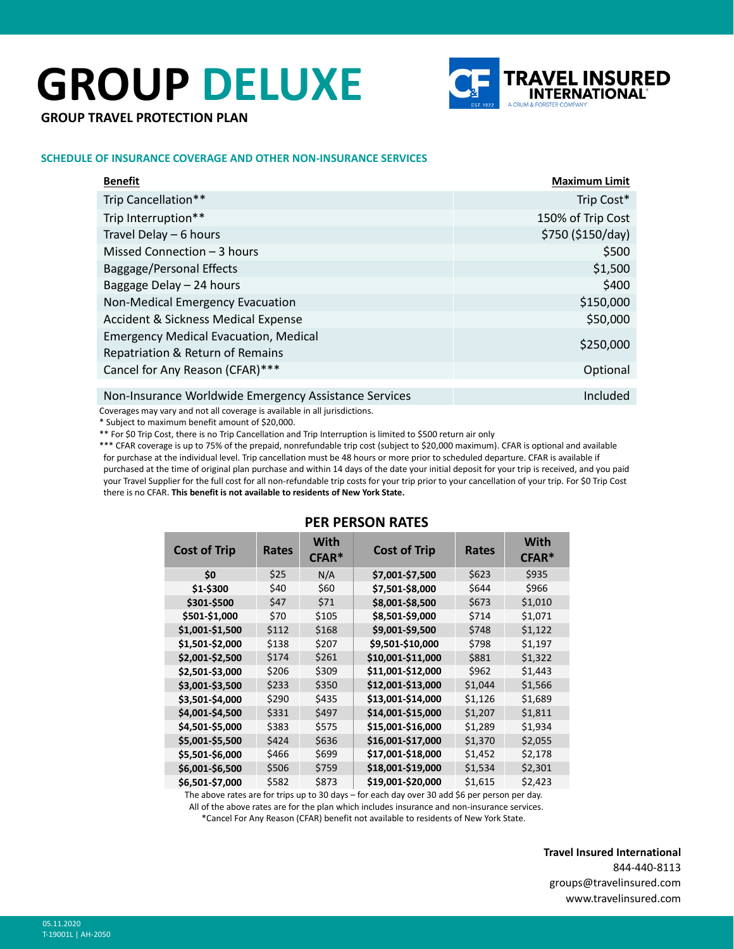# **GROUP DELUXE**



**GROUP TRAVEL PROTECTION PLAN**

### **SCHEDULE OF INSURANCE COVERAGE AND OTHER NON-INSURANCE SERVICES**

| <b>Benefit</b>                                        | <b>Maximum Limit</b> |
|-------------------------------------------------------|----------------------|
| Trip Cancellation**                                   | Trip Cost*           |
| Trip Interruption**                                   | 150% of Trip Cost    |
| Travel Delay - 6 hours                                | \$750 (\$150/day)    |
| Missed Connection - 3 hours                           | \$500                |
| Baggage/Personal Effects                              | \$1,500              |
| Baggage Delay - 24 hours                              | \$400                |
| Non-Medical Emergency Evacuation                      | \$150,000            |
| <b>Accident &amp; Sickness Medical Expense</b>        | \$50,000             |
| <b>Emergency Medical Evacuation, Medical</b>          | \$250,000            |
| Repatriation & Return of Remains                      |                      |
| Cancel for Any Reason (CFAR)***                       | Optional             |
| Non-Insurance Worldwide Emergency Assistance Services | Included             |

Coverages may vary and not all coverage is available in all jurisdictions.

\* Subject to maximum benefit amount of \$20,000.

\*\* For \$0 Trip Cost, there is no Trip Cancellation and Trip Interruption is limited to \$500 return air only

\*\*\* CFAR coverage is up to 75% of the prepaid, nonrefundable trip cost (subject to \$20,000 maximum). CFAR is optional and available for purchase at the individual level. Trip cancellation must be 48 hours or more prior to scheduled departure. CFAR is available if purchased at the time of original plan purchase and within 14 days of the date your initial deposit for your trip is received, and you paid your Travel Supplier for the full cost for all non-refundable trip costs for your trip prior to your cancellation of your trip. For \$0 Trip Cost there is no CFAR. **This benefit is not available to residents of New York State.**

| <b>Cost of Trip</b> | Rates | <b>With</b><br>CFAR <sup>*</sup> | <b>Cost of Trip</b> | Rates   | With<br>CFAR <sup>*</sup> |  |
|---------------------|-------|----------------------------------|---------------------|---------|---------------------------|--|
| \$0                 | \$25  | N/A                              | \$7,001-\$7,500     | \$623   | \$935                     |  |
| \$1-\$300           | \$40  | \$60                             | \$7,501-\$8,000     | \$644   | \$966                     |  |
| \$301-\$500         | \$47  | \$71                             | \$8,001-\$8,500     | \$673   | \$1,010                   |  |
| \$501-\$1,000       | \$70  | \$105                            | \$8,501-\$9,000     | \$714   | \$1,071                   |  |
| \$1,001-\$1,500     | \$112 | \$168                            | \$9,001-\$9,500     | \$748   | \$1,122                   |  |
| \$1,501-\$2,000     | \$138 | \$207                            | \$9,501-\$10,000    | \$798   | \$1,197                   |  |
| \$2,001-\$2,500     | \$174 | \$261                            | \$10,001-\$11,000   | \$881   | \$1,322                   |  |
| \$2,501-\$3,000     | \$206 | \$309                            | \$11,001-\$12,000   | \$962   | \$1,443                   |  |
| \$3,001-\$3,500     | \$233 | \$350                            | \$12,001-\$13,000   | \$1,044 | \$1,566                   |  |
| \$3,501-\$4,000     | \$290 | \$435                            | \$13,001-\$14,000   | \$1,126 | \$1,689                   |  |
| \$4,001-\$4,500     | \$331 | \$497                            | \$14,001-\$15,000   | \$1,207 | \$1,811                   |  |
| \$4,501-\$5,000     | \$383 | \$575                            | \$15,001-\$16,000   | \$1,289 | \$1,934                   |  |
| \$5,001-\$5,500     | \$424 | \$636                            | \$16,001-\$17,000   | \$1,370 | \$2,055                   |  |
| \$5,501-\$6,000     | \$466 | \$699                            | \$17,001-\$18,000   | \$1,452 | \$2,178                   |  |
| \$6,001-\$6,500     | \$506 | \$759                            | \$18,001-\$19,000   | \$1,534 | \$2,301                   |  |
| \$6,501-\$7,000     | \$582 | \$873                            | \$19,001-\$20,000   | \$1,615 | \$2,423                   |  |
|                     |       |                                  |                     |         |                           |  |

## **PER PERSON RATES**

The above rates are for trips up to 30 days – for each day over 30 add \$6 per person per day.

All of the above rates are for the plan which includes insurance and non-insurance services.

\*Cancel For Any Reason (CFAR) benefit not available to residents of New York State.

**Travel Insured International** 844-440-8113 groups@travelinsured.com www.travelinsured.com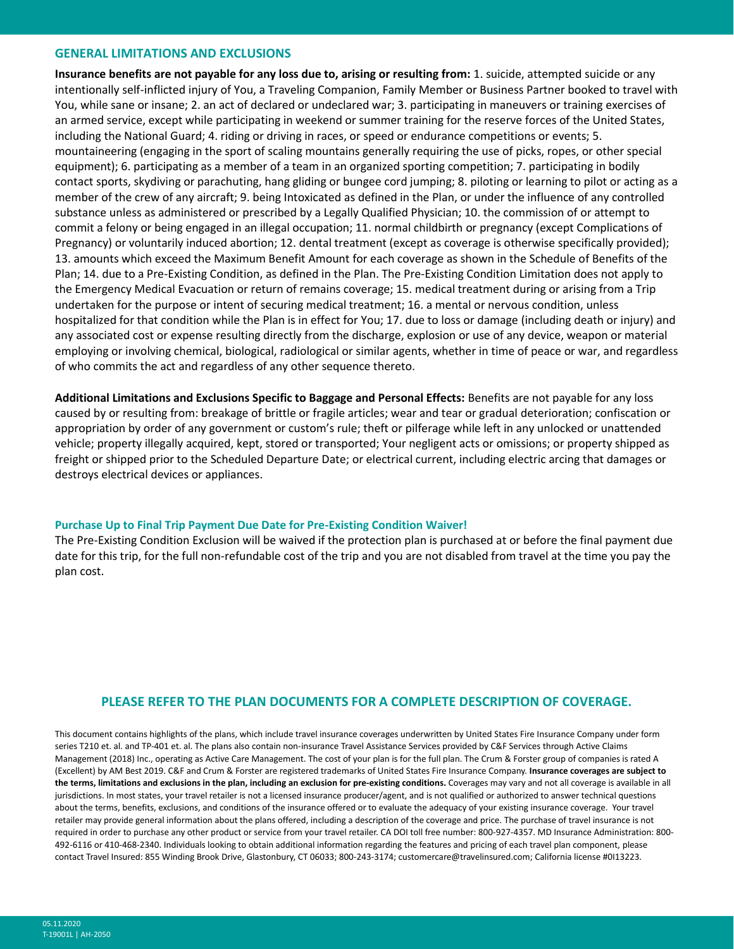#### **GENERAL LIMITATIONS AND EXCLUSIONS**

**Insurance benefits are not payable for any loss due to, arising or resulting from:** 1. suicide, attempted suicide or any intentionally self-inflicted injury of You, a Traveling Companion, Family Member or Business Partner booked to travel with You, while sane or insane; 2. an act of declared or undeclared war; 3. participating in maneuvers or training exercises of an armed service, except while participating in weekend or summer training for the reserve forces of the United States, including the National Guard; 4. riding or driving in races, or speed or endurance competitions or events; 5. mountaineering (engaging in the sport of scaling mountains generally requiring the use of picks, ropes, or other special equipment); 6. participating as a member of a team in an organized sporting competition; 7. participating in bodily contact sports, skydiving or parachuting, hang gliding or bungee cord jumping; 8. piloting or learning to pilot or acting as a member of the crew of any aircraft; 9. being Intoxicated as defined in the Plan, or under the influence of any controlled substance unless as administered or prescribed by a Legally Qualified Physician; 10. the commission of or attempt to commit a felony or being engaged in an illegal occupation; 11. normal childbirth or pregnancy (except Complications of Pregnancy) or voluntarily induced abortion; 12. dental treatment (except as coverage is otherwise specifically provided); 13. amounts which exceed the Maximum Benefit Amount for each coverage as shown in the Schedule of Benefits of the Plan; 14. due to a Pre-Existing Condition, as defined in the Plan. The Pre-Existing Condition Limitation does not apply to the Emergency Medical Evacuation or return of remains coverage; 15. medical treatment during or arising from a Trip undertaken for the purpose or intent of securing medical treatment; 16. a mental or nervous condition, unless hospitalized for that condition while the Plan is in effect for You; 17. due to loss or damage (including death or injury) and any associated cost or expense resulting directly from the discharge, explosion or use of any device, weapon or material employing or involving chemical, biological, radiological or similar agents, whether in time of peace or war, and regardless of who commits the act and regardless of any other sequence thereto.

**Additional Limitations and Exclusions Specific to Baggage and Personal Effects:** Benefits are not payable for any loss caused by or resulting from: breakage of brittle or fragile articles; wear and tear or gradual deterioration; confiscation or appropriation by order of any government or custom's rule; theft or pilferage while left in any unlocked or unattended vehicle; property illegally acquired, kept, stored or transported; Your negligent acts or omissions; or property shipped as freight or shipped prior to the Scheduled Departure Date; or electrical current, including electric arcing that damages or destroys electrical devices or appliances.

#### **Purchase Up to Final Trip Payment Due Date for Pre-Existing Condition Waiver!**

The Pre-Existing Condition Exclusion will be waived if the protection plan is purchased at or before the final payment due date for this trip, for the full non-refundable cost of the trip and you are not disabled from travel at the time you pay the plan cost.

## **PLEASE REFER TO THE PLAN DOCUMENTS FOR A COMPLETE DESCRIPTION OF COVERAGE.**

This document contains highlights of the plans, which include travel insurance coverages underwritten by United States Fire Insurance Company under form series T210 et. al. and TP-401 et. al. The plans also contain non-insurance Travel Assistance Services provided by C&F Services through Active Claims Management (2018) Inc., operating as Active Care Management. The cost of your plan is for the full plan. The Crum & Forster group of companies is rated A (Excellent) by AM Best 2019. C&F and Crum & Forster are registered trademarks of United States Fire Insurance Company. **Insurance coverages are subject to the terms, limitations and exclusions in the plan, including an exclusion for pre-existing conditions.** Coverages may vary and not all coverage is available in all jurisdictions. In most states, your travel retailer is not a licensed insurance producer/agent, and is not qualified or authorized to answer technical questions about the terms, benefits, exclusions, and conditions of the insurance offered or to evaluate the adequacy of your existing insurance coverage. Your travel retailer may provide general information about the plans offered, including a description of the coverage and price. The purchase of travel insurance is not required in order to purchase any other product or service from your travel retailer. CA DOI toll free number: 800-927-4357. MD Insurance Administration: 800- 492-6116 or 410-468-2340. Individuals looking to obtain additional information regarding the features and pricing of each travel plan component, please contact Travel Insured: 855 Winding Brook Drive, Glastonbury, CT 06033; 800-243-3174; customercare@travelinsured.com; California license #0I13223.